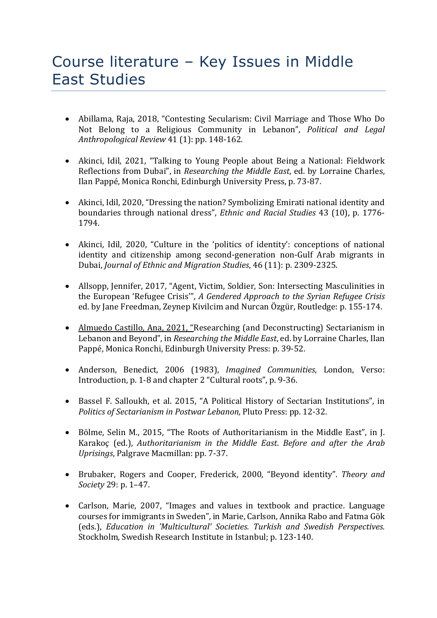## Course literature – Key Issues in Middle East Studies

- Abillama, Raja, 2018, "Contesting Secularism: Civil Marriage and Those Who Do Not Belong to a Religious Community in Lebanon", *Political and Legal* Anthropological Review 41 (1): pp. 148-162.
- Akinci, Idil, 2021, "Talking to Young People about Being a National: Fieldwork Reflections from Dubai", in *Researching the Middle East*, ed. by Lorraine Charles, Ilan Pappé, Monica Ronchi, Edinburgh University Press, p. 73-87.
- Akinci, Idil, 2020, "Dressing the nation? Symbolizing Emirati national identity and boundaries through national dress", *Ethnic and Racial Studies* 43 (10), p. 1776-1794.
- Akinci, Idil, 2020, "Culture in the 'politics of identity': conceptions of national identity and citizenship among second-generation non-Gulf Arab migrants in Dubai, *Journal of Ethnic and Migration Studies*, 46 (11): p. 2309-2325.
- Allsopp, Jennifer, 2017, "Agent, Victim, Soldier, Son: Intersecting Masculinities in the European 'Refugee Crisis'", A Gendered Approach to the Syrian Refugee Crisis ed. by Jane Freedman, Zeynep Kivilcim and Nurcan Özgür, Routledge: p. 155-174.
- Almuedo Castillo, Ana, 2021, "Researching (and Deconstructing) Sectarianism in Lebanon and Beyond", in *Researching the Middle East*, ed. by Lorraine Charles, Ilan Pappé, Monica Ronchi, Edinburgh University Press: p. 39-52.
- Anderson, Benedict, 2006 (1983), *Imagined Communities*, London, Verso: Introduction, p. 1-8 and chapter 2 "Cultural roots", p. 9-36.
- Bassel F. Salloukh, et al. 2015, "A Political History of Sectarian Institutions", in *Politics of Sectarianism in Postwar Lebanon, Pluto Press: pp. 12-32.*
- Bölme, Selin M., 2015, "The Roots of Authoritarianism in the Middle East", in J. Karakoç (ed.), Authoritarianism in the Middle East. Before and after the Arab *Uprisings*, Palgrave Macmillan: pp. 7-37.
- Brubaker, Rogers and Cooper, Frederick, 2000, "Beyond identity". Theory and *Society* 29: p. 1-47.
- Carlson, Marie, 2007, "Images and values in textbook and practice. Language courses for immigrants in Sweden", in Marie, Carlson, Annika Rabo and Fatma Gök (eds.), *Education in 'Multicultural' Societies. Turkish and Swedish Perspectives.* Stockholm, Swedish Research Institute in Istanbul; p. 123-140.